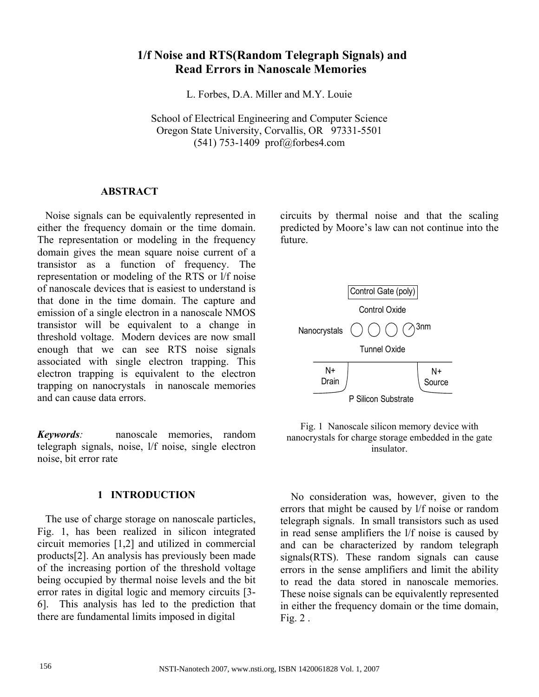# **1/f Noise and RTS(Random Telegraph Signals) and Read Errors in Nanoscale Memories**

L. Forbes, D.A. Miller and M.Y. Louie

School of Electrical Engineering and Computer Science Oregon State University, Corvallis, OR 97331-5501 (541) 753-1409 prof@forbes4.com

## **ABSTRACT**

 Noise signals can be equivalently represented in either the frequency domain or the time domain. The representation or modeling in the frequency domain gives the mean square noise current of a transistor as a function of frequency. The representation or modeling of the RTS or l/f noise of nanoscale devices that is easiest to understand is that done in the time domain. The capture and emission of a single electron in a nanoscale NMOS transistor will be equivalent to a change in threshold voltage. Modern devices are now small enough that we can see RTS noise signals associated with single electron trapping. This electron trapping is equivalent to the electron trapping on nanocrystals in nanoscale memories and can cause data errors.

*Keywords:* nanoscale memories, random telegraph signals, noise, l/f noise, single electron noise, bit error rate

## **1 INTRODUCTION**

 The use of charge storage on nanoscale particles, Fig. 1, has been realized in silicon integrated circuit memories [1,2] and utilized in commercial products[2]. An analysis has previously been made of the increasing portion of the threshold voltage being occupied by thermal noise levels and the bit error rates in digital logic and memory circuits [3- 6]. This analysis has led to the prediction that there are fundamental limits imposed in digital

circuits by thermal noise and that the scaling predicted by Moore's law can not continue into the future.



Fig. 1 Nanoscale silicon memory device with nanocrystals for charge storage embedded in the gate insulator.

 No consideration was, however, given to the errors that might be caused by l/f noise or random telegraph signals. In small transistors such as used in read sense amplifiers the l/f noise is caused by and can be characterized by random telegraph signals(RTS). These random signals can cause errors in the sense amplifiers and limit the ability to read the data stored in nanoscale memories. These noise signals can be equivalently represented in either the frequency domain or the time domain, Fig. 2 .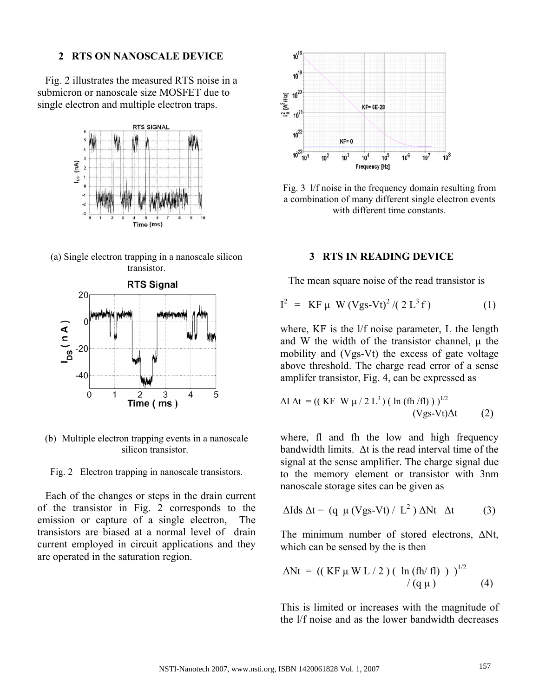#### **2 RTS ON NANOSCALE DEVICE**

 Fig. 2 illustrates the measured RTS noise in a submicron or nanoscale size MOSFET due to single electron and multiple electron traps.



(a) Single electron trapping in a nanoscale silicon transistor.



(b) Multiple electron trapping events in a nanoscale silicon transistor.

Fig. 2 Electron trapping in nanoscale transistors.

 Each of the changes or steps in the drain current of the transistor in Fig. 2 corresponds to the emission or capture of a single electron, The transistors are biased at a normal level of drain current employed in circuit applications and they are operated in the saturation region.



Fig. 3 l/f noise in the frequency domain resulting from a combination of many different single electron events with different time constants.

## **3 RTS IN READING DEVICE**

The mean square noise of the read transistor is

$$
I^{2} = KF \mu W (Vgs-Vt)^{2} / (2 L^{3} f)
$$
 (1)

where, KF is the l/f noise parameter, L the length and W the width of the transistor channel,  $\mu$  the mobility and (Vgs-Vt) the excess of gate voltage above threshold. The charge read error of a sense amplifer transistor, Fig. 4, can be expressed as

$$
\Delta I \Delta t = ((KF W \mu / 2 L3) (ln (fh / fl)) )^{1/2}
$$
  
(Vgs-Vt) $\Delta t$  (2)

where, fl and fh the low and high frequency bandwidth limits. ∆t is the read interval time of the signal at the sense amplifier. The charge signal due to the memory element or transistor with 3nm nanoscale storage sites can be given as

$$
\Delta Ids \Delta t = (q \mu (Vgs-Vt) / L^2) \Delta Nt \Delta t \qquad (3)
$$

The minimum number of stored electrons, ∆Nt, which can be sensed by the is then

$$
\Delta Nt = ((KF \mu W L / 2) (ln (fh/fl)) )^{1/2}
$$
  
/(q $\mu$ ) (4)

This is limited or increases with the magnitude of the l/f noise and as the lower bandwidth decreases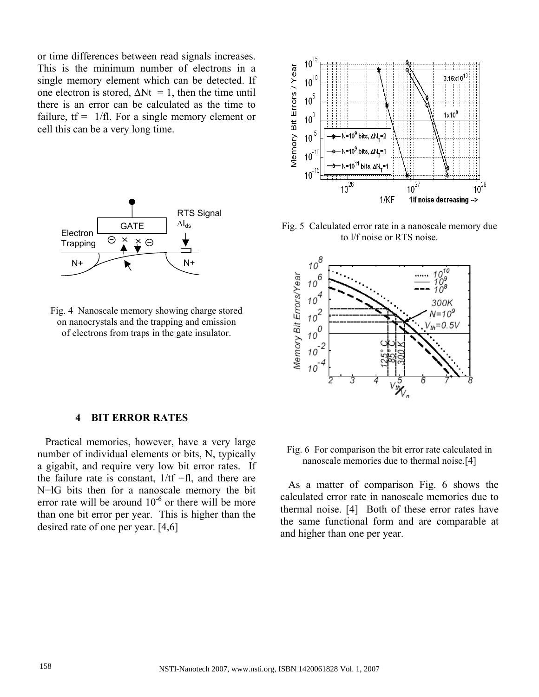or time differences between read signals increases. This is the minimum number of electrons in a single memory element which can be detected. If one electron is stored,  $\Delta Nt = 1$ , then the time until there is an error can be calculated as the time to failure,  $tf = 1/fl$ . For a single memory element or cell this can be a very long time.



Fig. 4 Nanoscale memory showing charge stored on nanocrystals and the trapping and emission of electrons from traps in the gate insulator.



Fig. 5 Calculated error rate in a nanoscale memory due to l/f noise or RTS noise.



## **4 BIT ERROR RATES**

 Practical memories, however, have a very large number of individual elements or bits, N, typically a gigabit, and require very low bit error rates. If the failure rate is constant,  $1/tf = fl$ , and there are N=lG bits then for a nanoscale memory the bit error rate will be around  $10^{-6}$  or there will be more than one bit error per year. This is higher than the desired rate of one per year. [4,6]

Fig. 6 For comparison the bit error rate calculated in nanoscale memories due to thermal noise.[4]

 As a matter of comparison Fig. 6 shows the calculated error rate in nanoscale memories due to thermal noise. [4] Both of these error rates have the same functional form and are comparable at and higher than one per year.